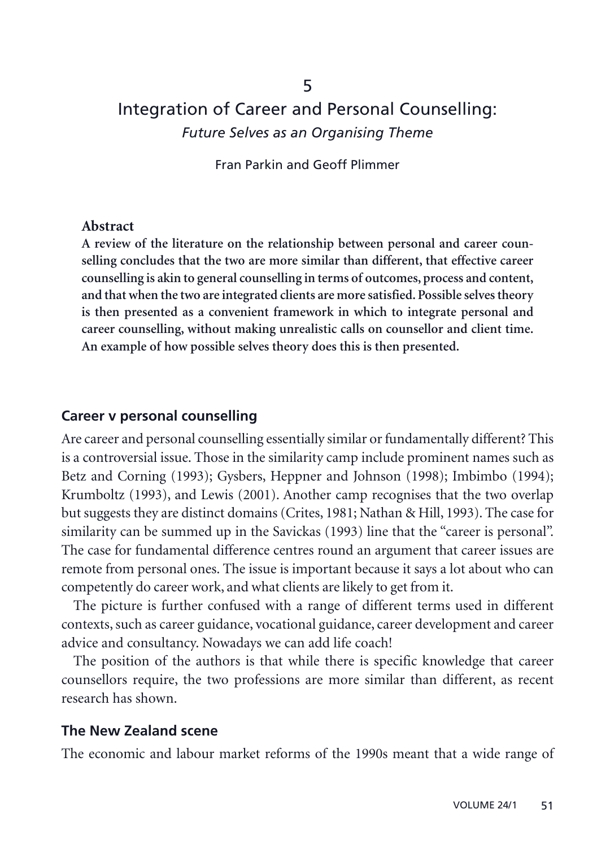# Integration of Career and Personal Counselling: *Future Selves as an Organising Theme*

5

Fran Parkin and Geoff Plimmer

#### **Abstract**

**A review of the literature on the relationship between personal and career counselling concludes that the two are more similar than different, that effective career counselling is akin to general counselling in terms of outcomes, process and content, and that when the two are integrated clients are more satisfied. Possible selves theory is then presented as a convenient framework in which to integrate personal and career counselling, without making unrealistic calls on counsellor and client time. An example of how possible selves theory does this is then presented.**

#### **Career v personal counselling**

Are career and personal counselling essentially similar or fundamentally different? This is a controversial issue. Those in the similarity camp include prominent names such as Betz and Corning (1993); Gysbers, Heppner and Johnson (1998); Imbimbo (1994); Krumboltz (1993), and Lewis (2001). Another camp recognises that the two overlap but suggests they are distinct domains (Crites, 1981; Nathan & Hill, 1993). The case for similarity can be summed up in the Savickas (1993) line that the "career is personal". The case for fundamental difference centres round an argument that career issues are remote from personal ones. The issue is important because it says a lot about who can competently do career work, and what clients are likely to get from it.

The picture is further confused with a range of different terms used in different contexts, such as career guidance, vocational guidance, career development and career advice and consultancy. Nowadays we can add life coach!

The position of the authors is that while there is specific knowledge that career counsellors require, the two professions are more similar than different, as recent research has shown.

### **The New Zealand scene**

The economic and labour market reforms of the 1990s meant that a wide range of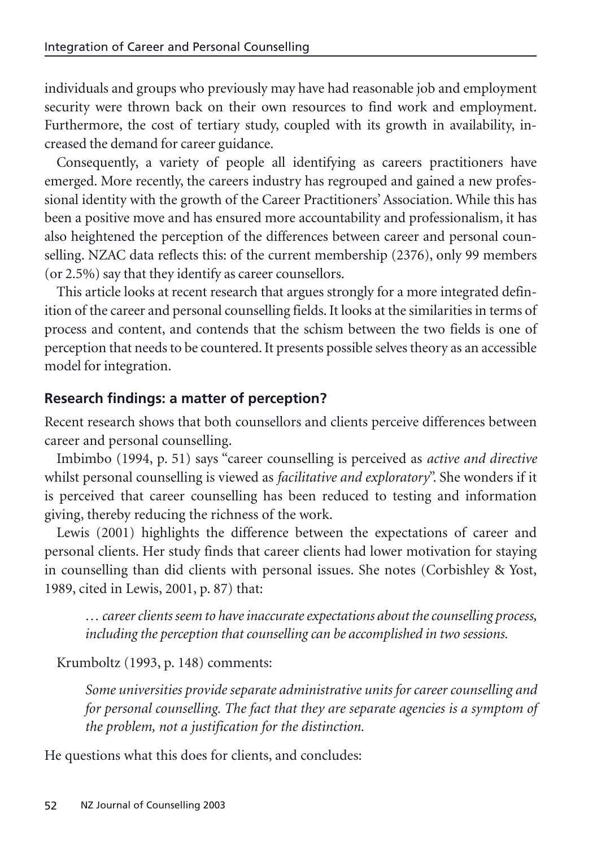individuals and groups who previously may have had reasonable job and employment security were thrown back on their own resources to find work and employment. Furthermore, the cost of tertiary study, coupled with its growth in availability, increased the demand for career guidance.

Consequently, a variety of people all identifying as careers practitioners have emerged. More recently, the careers industry has regrouped and gained a new professional identity with the growth of the Career Practitioners' Association. While this has been a positive move and has ensured more accountability and professionalism, it has also heightened the perception of the differences between career and personal counselling. NZAC data reflects this: of the current membership (2376), only 99 members (or 2.5%) say that they identify as career counsellors.

This article looks at recent research that argues strongly for a more integrated definition of the career and personal counselling fields. It looks at the similarities in terms of process and content, and contends that the schism between the two fields is one of perception that needs to be countered. It presents possible selves theory as an accessible model for integration.

# **Research findings: a matter of perception?**

Recent research shows that both counsellors and clients perceive differences between career and personal counselling.

Imbimbo (1994, p. 51) says "career counselling is perceived as *active and directive* whilst personal counselling is viewed as *facilitative and exploratory*". She wonders if it is perceived that career counselling has been reduced to testing and information giving, thereby reducing the richness of the work.

Lewis (2001) highlights the difference between the expectations of career and personal clients. Her study finds that career clients had lower motivation for staying in counselling than did clients with personal issues. She notes (Corbishley & Yost, 1989, cited in Lewis, 2001, p. 87) that:

*… career clients seem to have inaccurate expectations about the counselling process, including the perception that counselling can be accomplished in two sessions.*

Krumboltz (1993, p. 148) comments:

*Some universities provide separate administrative units for career counselling and for personal counselling. The fact that they are separate agencies is a symptom of the problem, not a justification for the distinction.*

He questions what this does for clients, and concludes: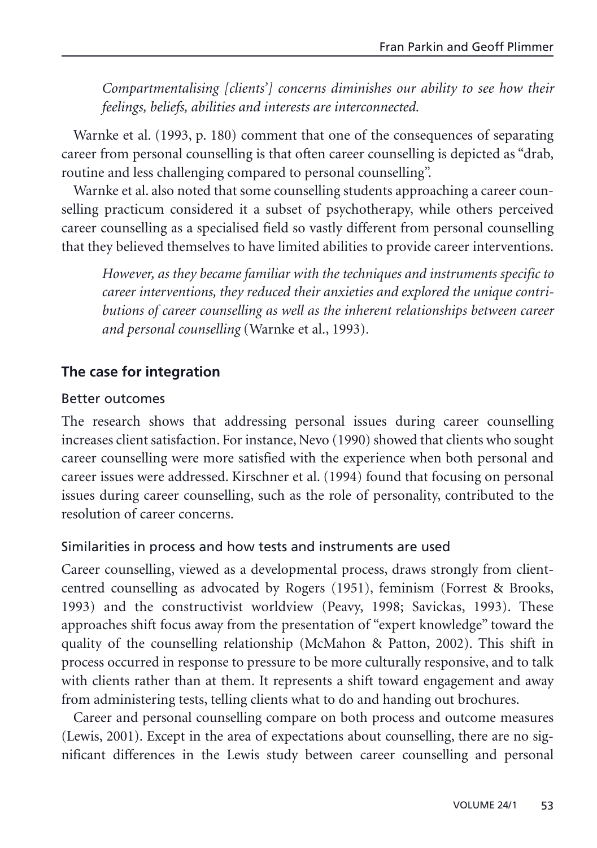*Compartmentalising [clients'] concerns diminishes our ability to see how their feelings, beliefs, abilities and interests are interconnected.*

Warnke et al. (1993, p. 180) comment that one of the consequences of separating career from personal counselling is that often career counselling is depicted as "drab, routine and less challenging compared to personal counselling".

Warnke et al. also noted that some counselling students approaching a career counselling practicum considered it a subset of psychotherapy, while others perceived career counselling as a specialised field so vastly different from personal counselling that they believed themselves to have limited abilities to provide career interventions.

*However, as they became familiar with the techniques and instruments specific to career interventions, they reduced their anxieties and explored the unique contributions of career counselling as well as the inherent relationships between career and personal counselling* (Warnke et al., 1993)*.*

# **The case for integration**

### Better outcomes

The research shows that addressing personal issues during career counselling increases client satisfaction. For instance, Nevo (1990) showed that clients who sought career counselling were more satisfied with the experience when both personal and career issues were addressed. Kirschner et al. (1994) found that focusing on personal issues during career counselling, such as the role of personality, contributed to the resolution of career concerns.

# Similarities in process and how tests and instruments are used

Career counselling, viewed as a developmental process, draws strongly from clientcentred counselling as advocated by Rogers (1951), feminism (Forrest & Brooks, 1993) and the constructivist worldview (Peavy, 1998; Savickas, 1993). These approaches shift focus away from the presentation of "expert knowledge" toward the quality of the counselling relationship (McMahon & Patton, 2002). This shift in process occurred in response to pressure to be more culturally responsive, and to talk with clients rather than at them. It represents a shift toward engagement and away from administering tests, telling clients what to do and handing out brochures.

Career and personal counselling compare on both process and outcome measures (Lewis, 2001). Except in the area of expectations about counselling, there are no significant differences in the Lewis study between career counselling and personal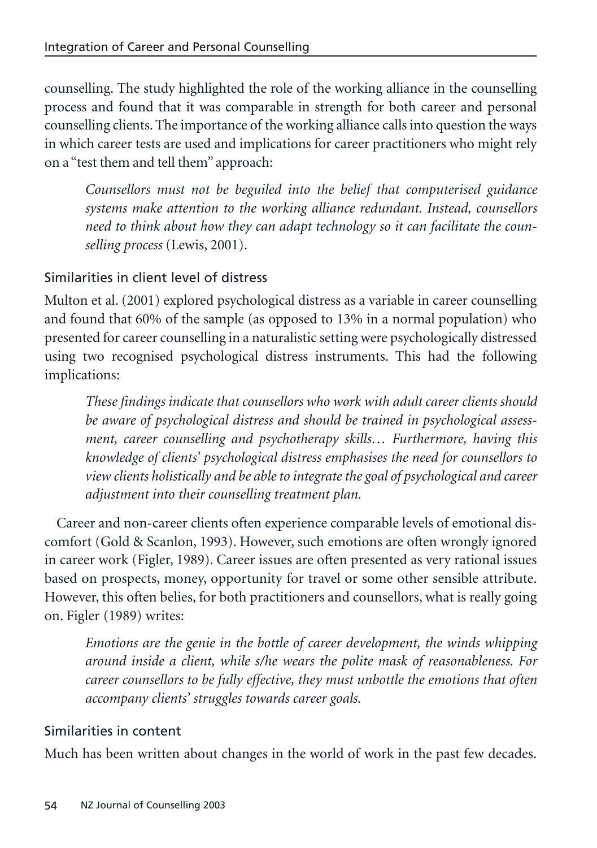counselling. The study highlighted the role of the working alliance in the counselling process and found that it was comparable in strength for both career and personal counselling clients. The importance of the working alliance calls into question the ways in which career tests are used and implications for career practitioners who might rely on a "test them and tell them" approach:

*Counsellors must not be beguiled into the belief that computerised guidance systems make attention to the working alliance redundant. Instead, counsellors need to think about how they can adapt technology so it can facilitate the counselling process* (Lewis, 2001)*.*

# Similarities in client level of distress

Multon et al. (2001) explored psychological distress as a variable in career counselling and found that 60% of the sample (as opposed to 13% in a normal population) who presented for career counselling in a naturalistic setting were psychologically distressed using two recognised psychological distress instruments. This had the following implications:

*These findings indicate that counsellors who work with adult career clients should be aware of psychological distress and should be trained in psychological assessment, career counselling and psychotherapy skills… Furthermore, having this knowledge of clients' psychological distress emphasises the need for counsellors to view clients holistically and be able to integrate the goal of psychological and career adjustment into their counselling treatment plan.*

Career and non-career clients often experience comparable levels of emotional discomfort (Gold & Scanlon, 1993). However, such emotions are often wrongly ignored in career work (Figler, 1989). Career issues are often presented as very rational issues based on prospects, money, opportunity for travel or some other sensible attribute. However, this often belies, for both practitioners and counsellors, what is really going on. Figler (1989) writes:

*Emotions are the genie in the bottle of career development, the winds whipping around inside a client, while s/he wears the polite mask of reasonableness. For career counsellors to be fully effective, they must unbottle the emotions that often accompany clients' struggles towards career goals.*

# Similarities in content

Much has been written about changes in the world of work in the past few decades.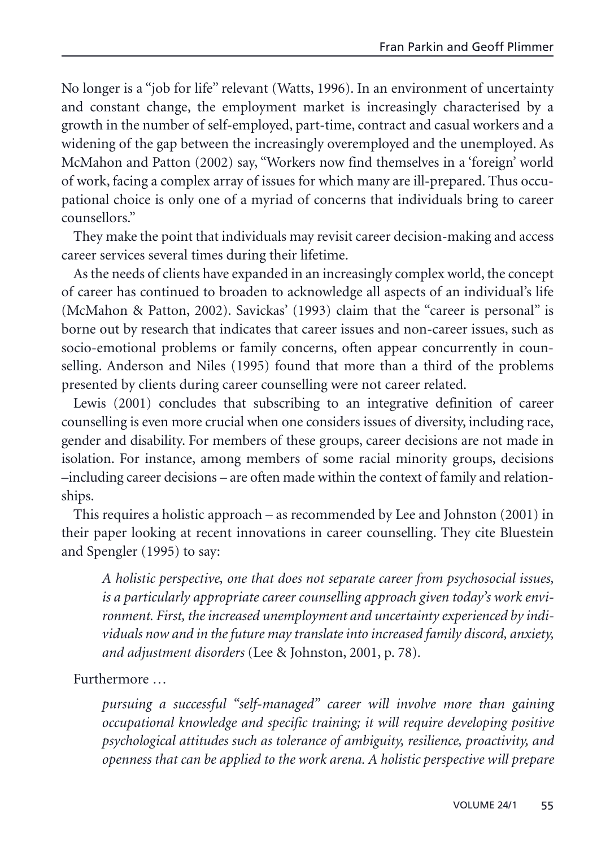No longer is a "job for life" relevant (Watts, 1996). In an environment of uncertainty and constant change, the employment market is increasingly characterised by a growth in the number of self-employed, part-time, contract and casual workers and a widening of the gap between the increasingly overemployed and the unemployed. As McMahon and Patton (2002) say, "Workers now find themselves in a 'foreign' world of work, facing a complex array of issues for which many are ill-prepared. Thus occupational choice is only one of a myriad of concerns that individuals bring to career counsellors."

They make the point that individuals may revisit career decision-making and access career services several times during their lifetime.

As the needs of clients have expanded in an increasingly complex world, the concept of career has continued to broaden to acknowledge all aspects of an individual's life (McMahon & Patton, 2002). Savickas' (1993) claim that the "career is personal" is borne out by research that indicates that career issues and non-career issues, such as socio-emotional problems or family concerns, often appear concurrently in counselling. Anderson and Niles (1995) found that more than a third of the problems presented by clients during career counselling were not career related.

Lewis (2001) concludes that subscribing to an integrative definition of career counselling is even more crucial when one considers issues of diversity, including race, gender and disability. For members of these groups, career decisions are not made in isolation. For instance, among members of some racial minority groups, decisions –including career decisions – are often made within the context of family and relationships.

This requires a holistic approach – as recommended by Lee and Johnston (2001) in their paper looking at recent innovations in career counselling. They cite Bluestein and Spengler (1995) to say:

*A holistic perspective, one that does not separate career from psychosocial issues, is a particularly appropriate career counselling approach given today's work environment. First, the increased unemployment and uncertainty experienced by individuals now and in the future may translate into increased family discord, anxiety, and adjustment disorders* (Lee & Johnston, 2001, p. 78)*.*

Furthermore …

*pursuing a successful "self-managed" career will involve more than gaining occupational knowledge and specific training; it will require developing positive psychological attitudes such as tolerance of ambiguity, resilience, proactivity, and openness that can be applied to the work arena. A holistic perspective will prepare*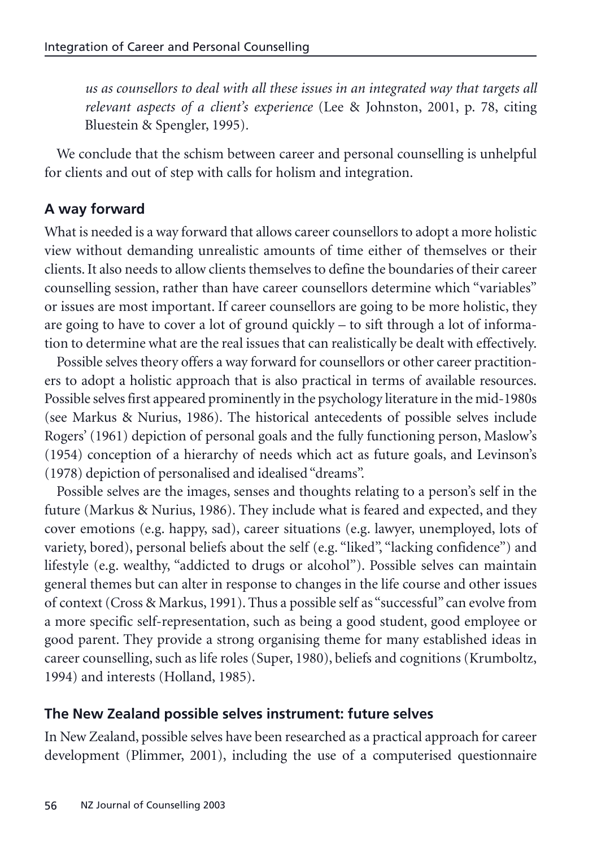*us as counsellors to deal with all these issues in an integrated way that targets all relevant aspects of a client's experience* (Lee & Johnston, 2001, p. 78, citing Bluestein & Spengler, 1995)*.*

We conclude that the schism between career and personal counselling is unhelpful for clients and out of step with calls for holism and integration.

# **A way forward**

What is needed is a way forward that allows career counsellors to adopt a more holistic view without demanding unrealistic amounts of time either of themselves or their clients. It also needs to allow clients themselves to define the boundaries of their career counselling session, rather than have career counsellors determine which "variables" or issues are most important. If career counsellors are going to be more holistic, they are going to have to cover a lot of ground quickly – to sift through a lot of information to determine what are the real issues that can realistically be dealt with effectively.

Possible selves theory offers a way forward for counsellors or other career practitioners to adopt a holistic approach that is also practical in terms of available resources. Possible selves first appeared prominently in the psychology literature in the mid-1980s (see Markus & Nurius, 1986). The historical antecedents of possible selves include Rogers' (1961) depiction of personal goals and the fully functioning person, Maslow's (1954) conception of a hierarchy of needs which act as future goals, and Levinson's (1978) depiction of personalised and idealised "dreams".

Possible selves are the images, senses and thoughts relating to a person's self in the future (Markus & Nurius, 1986). They include what is feared and expected, and they cover emotions (e.g. happy, sad), career situations (e.g. lawyer, unemployed, lots of variety, bored), personal beliefs about the self (e.g. "liked", "lacking confidence") and lifestyle (e.g. wealthy, "addicted to drugs or alcohol"). Possible selves can maintain general themes but can alter in response to changes in the life course and other issues of context (Cross & Markus, 1991). Thus a possible self as "successful" can evolve from a more specific self-representation, such as being a good student, good employee or good parent. They provide a strong organising theme for many established ideas in career counselling, such as life roles (Super, 1980), beliefs and cognitions (Krumboltz, 1994) and interests (Holland, 1985).

# **The New Zealand possible selves instrument: future selves**

In New Zealand, possible selves have been researched as a practical approach for career development (Plimmer, 2001), including the use of a computerised questionnaire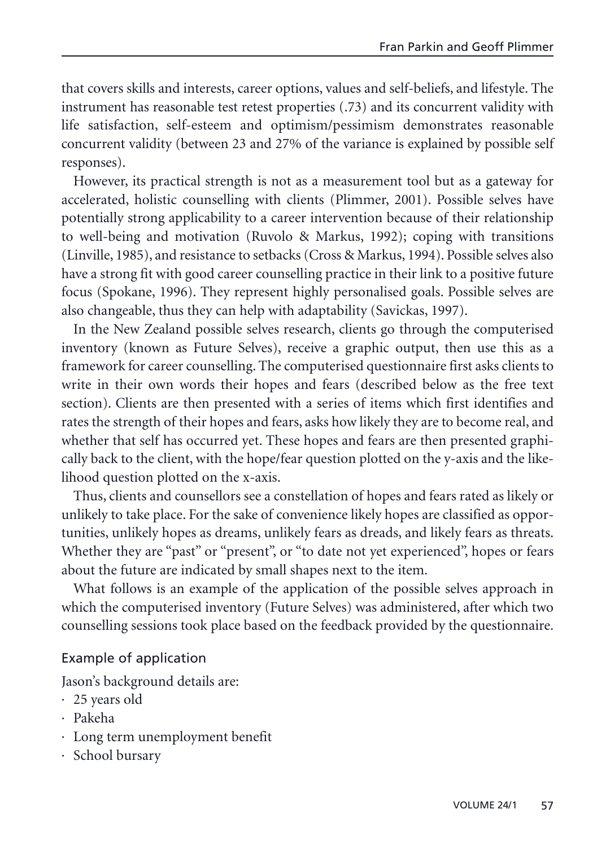that covers skills and interests, career options, values and self-beliefs, and lifestyle. The instrument has reasonable test retest properties (.73) and its concurrent validity with life satisfaction, self-esteem and optimism/pessimism demonstrates reasonable concurrent validity (between 23 and 27% of the variance is explained by possible self responses).

However, its practical strength is not as a measurement tool but as a gateway for accelerated, holistic counselling with clients (Plimmer, 2001). Possible selves have potentially strong applicability to a career intervention because of their relationship to well-being and motivation (Ruvolo & Markus, 1992); coping with transitions (Linville, 1985), and resistance to setbacks (Cross & Markus, 1994). Possible selves also have a strong fit with good career counselling practice in their link to a positive future focus (Spokane, 1996). They represent highly personalised goals. Possible selves are also changeable, thus they can help with adaptability (Savickas, 1997).

In the New Zealand possible selves research, clients go through the computerised inventory (known as Future Selves), receive a graphic output, then use this as a framework for career counselling. The computerised questionnaire first asks clients to write in their own words their hopes and fears (described below as the free text section). Clients are then presented with a series of items which first identifies and rates the strength of their hopes and fears, asks how likely they are to become real, and whether that self has occurred yet. These hopes and fears are then presented graphically back to the client, with the hope/fear question plotted on the y-axis and the likelihood question plotted on the x-axis.

Thus, clients and counsellors see a constellation of hopes and fears rated as likely or unlikely to take place. For the sake of convenience likely hopes are classified as opportunities, unlikely hopes as dreams, unlikely fears as dreads, and likely fears as threats. Whether they are "past" or "present", or "to date not yet experienced", hopes or fears about the future are indicated by small shapes next to the item.

What follows is an example of the application of the possible selves approach in which the computerised inventory (Future Selves) was administered, after which two counselling sessions took place based on the feedback provided by the questionnaire.

# Example of application

Jason's background details are:

- · 25 years old
- · Pakeha
- · Long term unemployment benefit
- · School bursary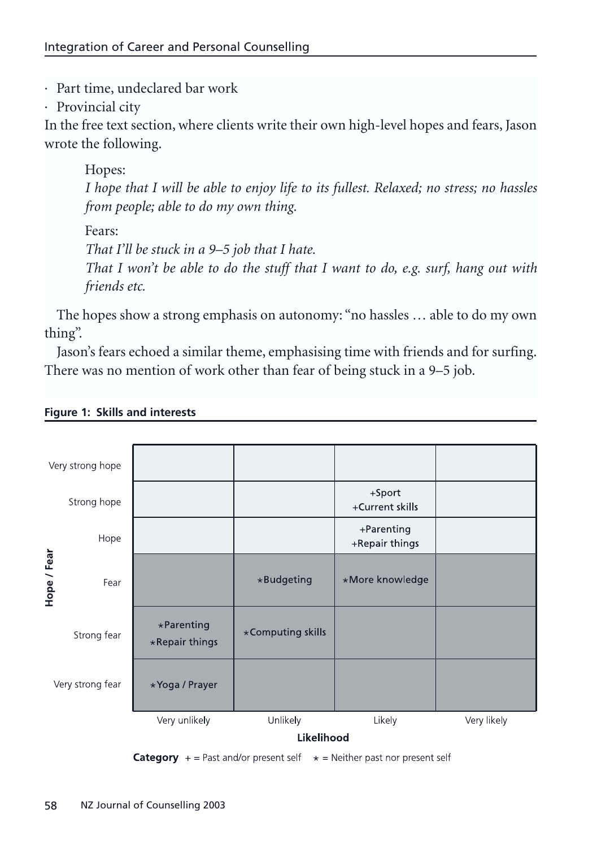· Part time, undeclared bar work

· Provincial city

In the free text section, where clients write their own high-level hopes and fears, Jason wrote the following.

Hopes: *I hope that I will be able to enjoy life to its fullest. Relaxed; no stress; no hassles from people; able to do my own thing.* Fears: *That I'll be stuck in a 9–5 job that I hate. That I won't be able to do the stuff that I want to do, e.g. surf, hang out with friends etc.*

The hopes show a strong emphasis on autonomy: "no hassles … able to do my own thing".

Jason's fears echoed a similar theme, emphasising time with friends and for surfing. There was no mention of work other than fear of being stuck in a 9–5 job.



#### **Figure 1: Skills and interests**

**Category**  $+$  = Past and/or present self  $*$  = Neither past nor present self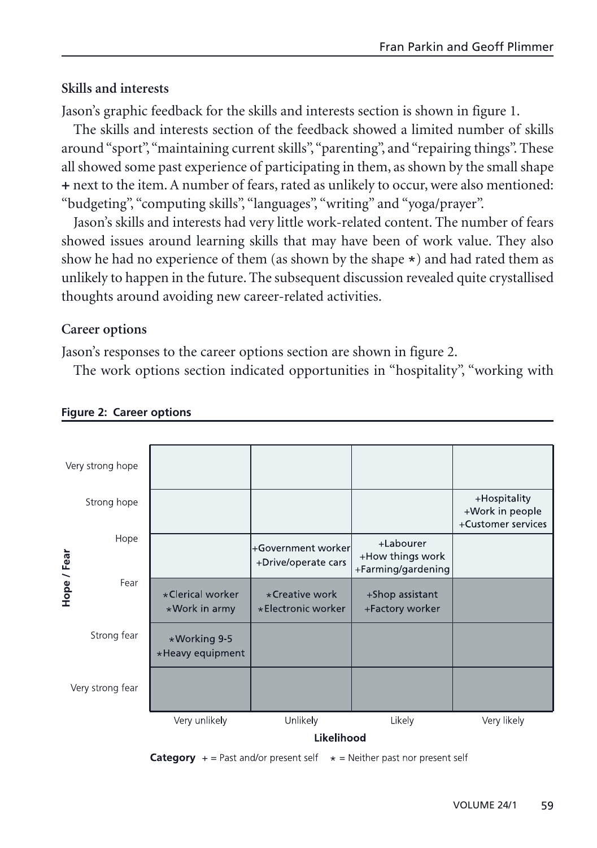# **Skills and interests**

Jason's graphic feedback for the skills and interests section is shown in figure 1.

The skills and interests section of the feedback showed a limited number of skills around "sport","maintaining current skills","parenting", and "repairing things". These all showed some past experience of participating in them, as shown by the small shape + next to the item. A number of fears, rated as unlikely to occur, were also mentioned: "budgeting", "computing skills", "languages", "writing" and "yoga/prayer".

Jason's skills and interests had very little work-related content. The number of fears showed issues around learning skills that may have been of work value. They also show he had no experience of them (as shown by the shape  $\star$ ) and had rated them as unlikely to happen in the future. The subsequent discussion revealed quite crystallised thoughts around avoiding new career-related activities.

### **Career options**

Jason's responses to the career options section are shown in figure 2.

The work options section indicated opportunities in "hospitality", "working with



#### **Figure 2: Career options**

**Category**  $+$  = Past and/or present self  $*$  = Neither past nor present self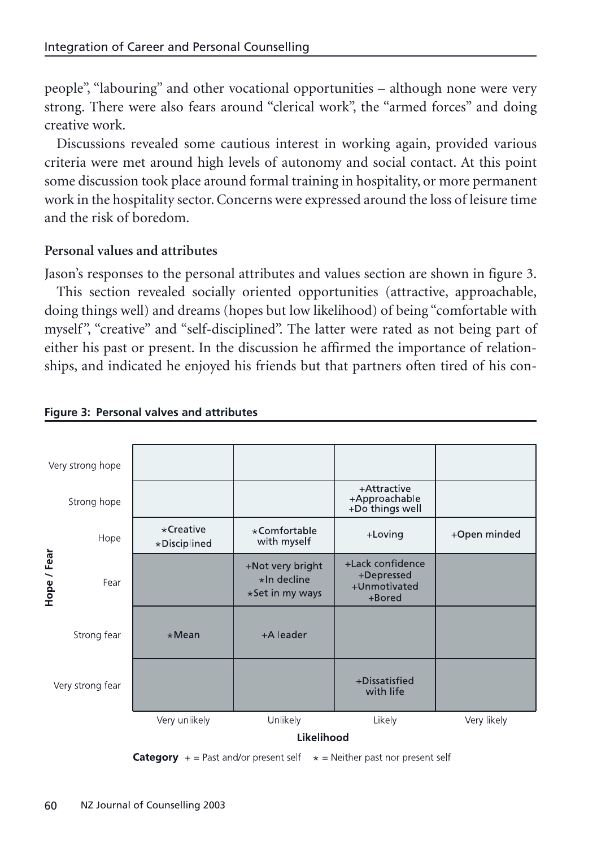people", "labouring" and other vocational opportunities – although none were very strong. There were also fears around "clerical work", the "armed forces" and doing creative work.

Discussions revealed some cautious interest in working again, provided various criteria were met around high levels of autonomy and social contact. At this point some discussion took place around formal training in hospitality, or more permanent work in the hospitality sector. Concerns were expressed around the loss of leisure time and the risk of boredom.

# **Personal values and attributes**

Jason's responses to the personal attributes and values section are shown in figure 3.

This section revealed socially oriented opportunities (attractive, approachable, doing things well) and dreams (hopes but low likelihood) of being "comfortable with myself", "creative" and "self-disciplined". The latter were rated as not being part of either his past or present. In the discussion he affirmed the importance of relationships, and indicated he enjoyed his friends but that partners often tired of his con-



#### **Figure 3: Personal valves and attributes**

**Category** + = Past and/or present self  $*$  = Neither past nor present self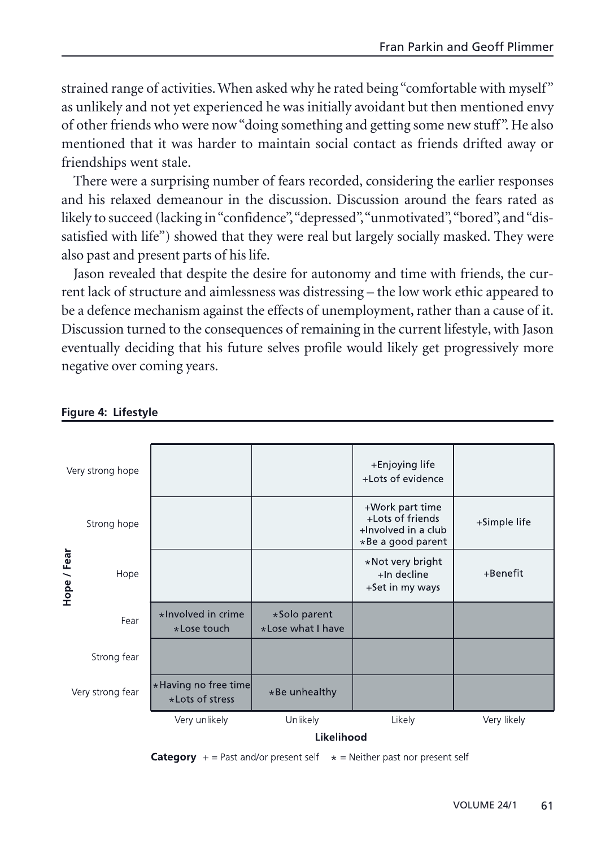strained range of activities. When asked why he rated being "comfortable with myself" as unlikely and not yet experienced he was initially avoidant but then mentioned envy of other friends who were now "doing something and getting some new stuff". He also mentioned that it was harder to maintain social contact as friends drifted away or friendships went stale.

There were a surprising number of fears recorded, considering the earlier responses and his relaxed demeanour in the discussion. Discussion around the fears rated as likely to succeed (lacking in "confidence","depressed","unmotivated","bored", and "dissatisfied with life") showed that they were real but largely socially masked. They were also past and present parts of his life.

Jason revealed that despite the desire for autonomy and time with friends, the current lack of structure and aimlessness was distressing – the low work ethic appeared to be a defence mechanism against the effects of unemployment, rather than a cause of it. Discussion turned to the consequences of remaining in the current lifestyle, with Jason eventually deciding that his future selves profile would likely get progressively more negative over coming years.



#### **Figure 4: Lifestyle**

**Category**  $+$  = Past and/or present self  $*$  = Neither past nor present self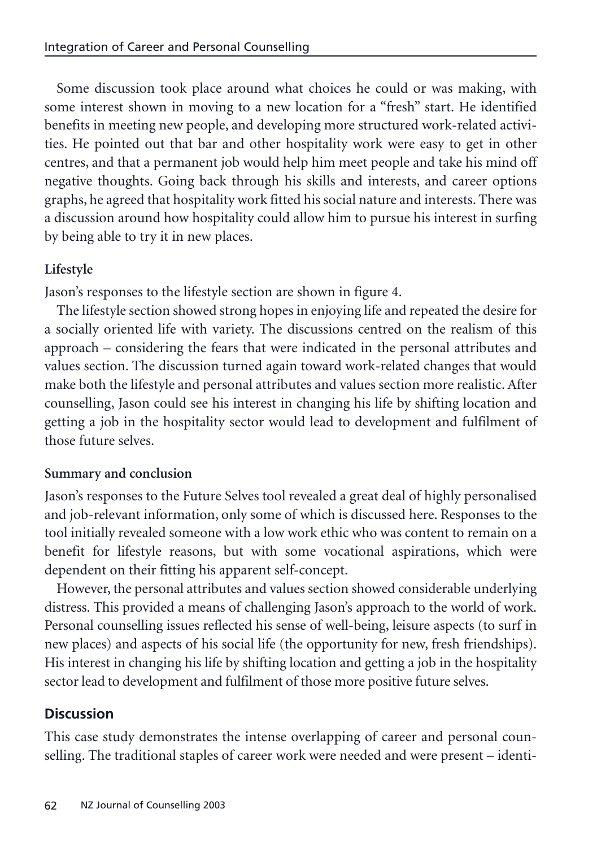Some discussion took place around what choices he could or was making, with some interest shown in moving to a new location for a "fresh" start. He identified benefits in meeting new people, and developing more structured work-related activities. He pointed out that bar and other hospitality work were easy to get in other centres, and that a permanent job would help him meet people and take his mind off negative thoughts. Going back through his skills and interests, and career options graphs, he agreed that hospitality work fitted his social nature and interests. There was a discussion around how hospitality could allow him to pursue his interest in surfing by being able to try it in new places.

# **Lifestyle**

Jason's responses to the lifestyle section are shown in figure 4.

The lifestyle section showed strong hopes in enjoying life and repeated the desire for a socially oriented life with variety. The discussions centred on the realism of this approach – considering the fears that were indicated in the personal attributes and values section. The discussion turned again toward work-related changes that would make both the lifestyle and personal attributes and values section more realistic. After counselling, Jason could see his interest in changing his life by shifting location and getting a job in the hospitality sector would lead to development and fulfilment of those future selves.

# **Summary and conclusion**

Jason's responses to the Future Selves tool revealed a great deal of highly personalised and job-relevant information, only some of which is discussed here. Responses to the tool initially revealed someone with a low work ethic who was content to remain on a benefit for lifestyle reasons, but with some vocational aspirations, which were dependent on their fitting his apparent self-concept.

However, the personal attributes and values section showed considerable underlying distress. This provided a means of challenging Jason's approach to the world of work. Personal counselling issues reflected his sense of well-being, leisure aspects (to surf in new places) and aspects of his social life (the opportunity for new, fresh friendships). His interest in changing his life by shifting location and getting a job in the hospitality sector lead to development and fulfilment of those more positive future selves.

# **Discussion**

This case study demonstrates the intense overlapping of career and personal counselling. The traditional staples of career work were needed and were present – identi-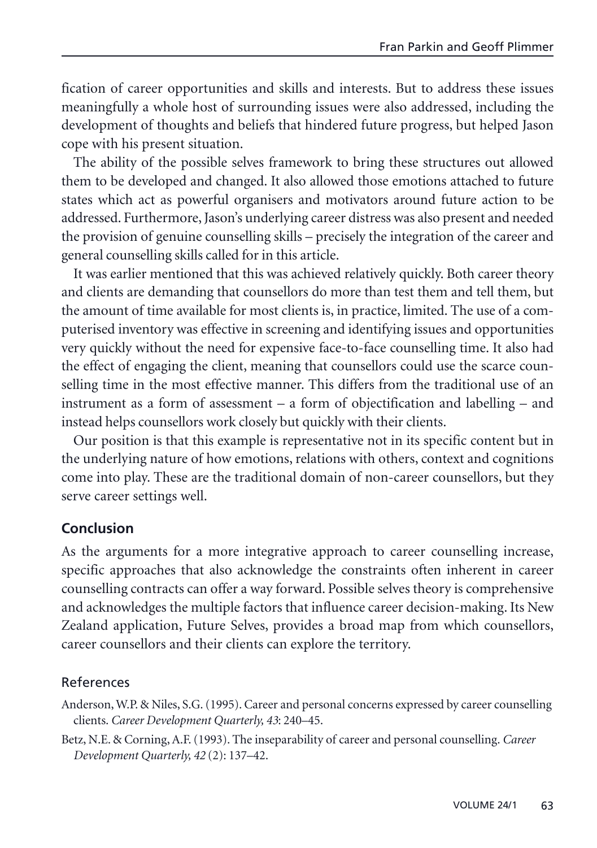fication of career opportunities and skills and interests. But to address these issues meaningfully a whole host of surrounding issues were also addressed, including the development of thoughts and beliefs that hindered future progress, but helped Jason cope with his present situation.

The ability of the possible selves framework to bring these structures out allowed them to be developed and changed. It also allowed those emotions attached to future states which act as powerful organisers and motivators around future action to be addressed. Furthermore, Jason's underlying career distress was also present and needed the provision of genuine counselling skills – precisely the integration of the career and general counselling skills called for in this article.

It was earlier mentioned that this was achieved relatively quickly. Both career theory and clients are demanding that counsellors do more than test them and tell them, but the amount of time available for most clients is, in practice, limited. The use of a computerised inventory was effective in screening and identifying issues and opportunities very quickly without the need for expensive face-to-face counselling time. It also had the effect of engaging the client, meaning that counsellors could use the scarce counselling time in the most effective manner. This differs from the traditional use of an instrument as a form of assessment – a form of objectification and labelling – and instead helps counsellors work closely but quickly with their clients.

Our position is that this example is representative not in its specific content but in the underlying nature of how emotions, relations with others, context and cognitions come into play. These are the traditional domain of non-career counsellors, but they serve career settings well.

# **Conclusion**

As the arguments for a more integrative approach to career counselling increase, specific approaches that also acknowledge the constraints often inherent in career counselling contracts can offer a way forward. Possible selves theory is comprehensive and acknowledges the multiple factors that influence career decision-making. Its New Zealand application, Future Selves, provides a broad map from which counsellors, career counsellors and their clients can explore the territory.

# References

Anderson, W.P. & Niles, S.G. (1995). Career and personal concerns expressed by career counselling clients.*Career Development Quarterly, 43*: 240–45.

Betz, N.E. & Corning, A.F. (1993). The inseparability of career and personal counselling. *Career Development Quarterly, 42* (2): 137–42.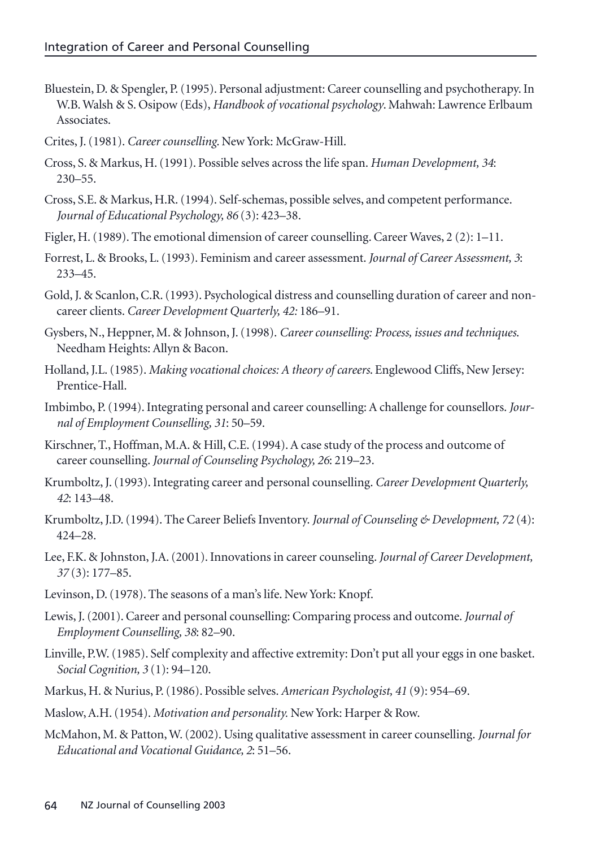- Bluestein, D. & Spengler, P. (1995). Personal adjustment: Career counselling and psychotherapy. In W.B.Walsh & S. Osipow (Eds), *Handbook of vocational psychology*. Mahwah: Lawrence Erlbaum Associates.
- Crites, J. (1981). *Career counselling*. New York: McGraw-Hill.
- Cross, S. & Markus, H. (1991). Possible selves across the life span. *Human Development, 34*: 230–55.
- Cross, S.E. & Markus, H.R. (1994). Self-schemas, possible selves, and competent performance. *Journal of Educational Psychology, 86* (3): 423–38.
- Figler, H. (1989). The emotional dimension of career counselling. Career Waves, 2 (2): 1–11.
- Forrest, L. & Brooks, L. (1993). Feminism and career assessment.*Journal of Career Assessment, 3*: 233–45.
- Gold, J. & Scanlon, C.R. (1993). Psychological distress and counselling duration of career and noncareer clients.*Career Development Quarterly, 42:* 186–91.
- Gysbers, N., Heppner, M. & Johnson, J. (1998). *Career counselling: Process, issues and techniques*. Needham Heights: Allyn & Bacon.
- Holland, J.L. (1985). *Making vocational choices: A theory of careers*. Englewood Cliffs, New Jersey: Prentice-Hall.
- Imbimbo, P. (1994). Integrating personal and career counselling: A challenge for counsellors.*Journal of Employment Counselling, 31*: 50–59.
- Kirschner, T., Hoffman, M.A. & Hill, C.E. (1994). A case study of the process and outcome of career counselling.*Journal of Counseling Psychology, 26*: 219–23.
- Krumboltz, J. (1993). Integrating career and personal counselling. *Career Development Quarterly, 42*: 143–48.
- Krumboltz, J.D. (1994). The Career Beliefs Inventory. *Journal of Counseling & Development, 72* (4): 424–28.
- Lee, F.K. & Johnston, J.A. (2001). Innovations in career counseling.*Journal of Career Development, 37* (3): 177–85.
- Levinson, D. (1978). The seasons of a man's life. New York: Knopf.
- Lewis, J. (2001). Career and personal counselling: Comparing process and outcome.*Journal of Employment Counselling, 38*: 82–90.
- Linville, P.W. (1985). Self complexity and affective extremity: Don't put all your eggs in one basket. *Social Cognition, 3* (1): 94–120.
- Markus, H. & Nurius, P. (1986). Possible selves. *American Psychologist, 41* (9): 954–69.
- Maslow, A.H. (1954). *Motivation and personality.* New York: Harper & Row.
- McMahon, M. & Patton, W. (2002). Using qualitative assessment in career counselling. *Journal for Educational and Vocational Guidance, 2*: 51–56.